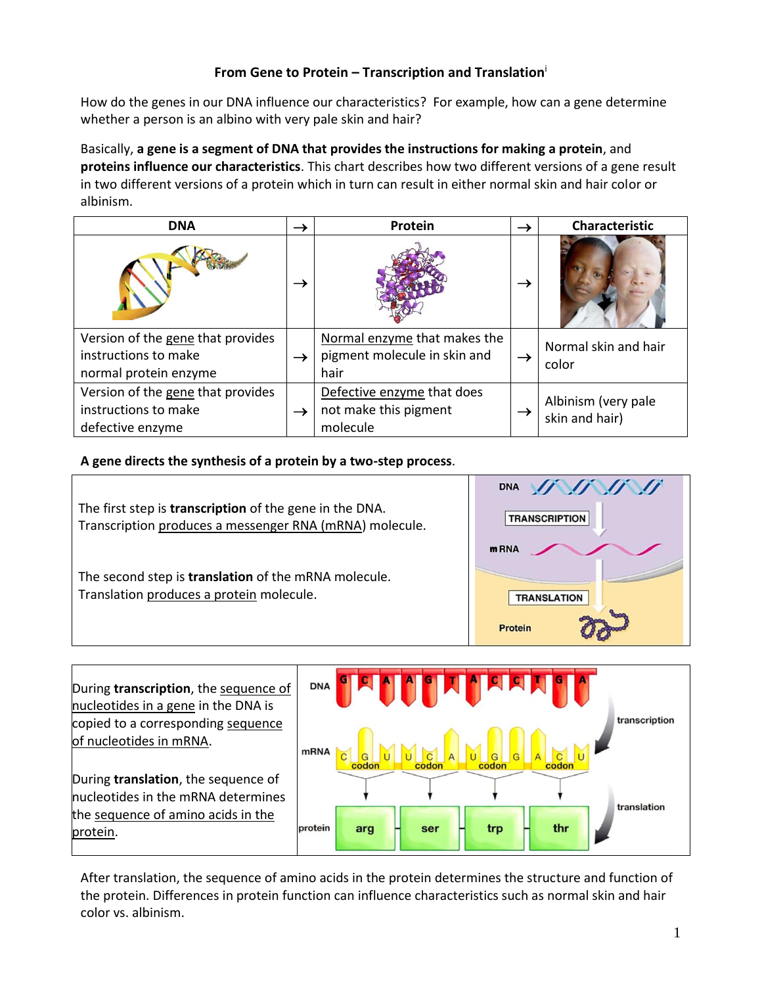# **From Gene to Protein – Transcription and Translation**<sup>i</sup>

How do the genes in our DNA influence our characteristics? For example, how can a gene determine whether a person is an albino with very pale skin and hair?

Basically, **a gene is a segment of DNA that provides the instructions for making a protein**, and **proteins influence our characteristics**. This chart describes how two different versions of a gene result in two different versions of a protein which in turn can result in either normal skin and hair color or albinism.

| <b>DNA</b>                                                                         | $\rightarrow$ | Protein                                                              | $\rightarrow$ | <b>Characteristic</b>                 |
|------------------------------------------------------------------------------------|---------------|----------------------------------------------------------------------|---------------|---------------------------------------|
|                                                                                    | $\rightarrow$ |                                                                      | →             |                                       |
| Version of the gene that provides<br>instructions to make<br>normal protein enzyme | $\rightarrow$ | Normal enzyme that makes the<br>pigment molecule in skin and<br>hair | $\rightarrow$ | Normal skin and hair<br>color         |
| Version of the gene that provides<br>instructions to make<br>defective enzyme      | $\rightarrow$ | Defective enzyme that does<br>not make this pigment<br>molecule      | $\rightarrow$ | Albinism (very pale<br>skin and hair) |

**A gene directs the synthesis of a protein by a two-step process**.





After translation, the sequence of amino acids in the protein determines the structure and function of the protein. Differences in protein function can influence characteristics such as normal skin and hair color vs. albinism.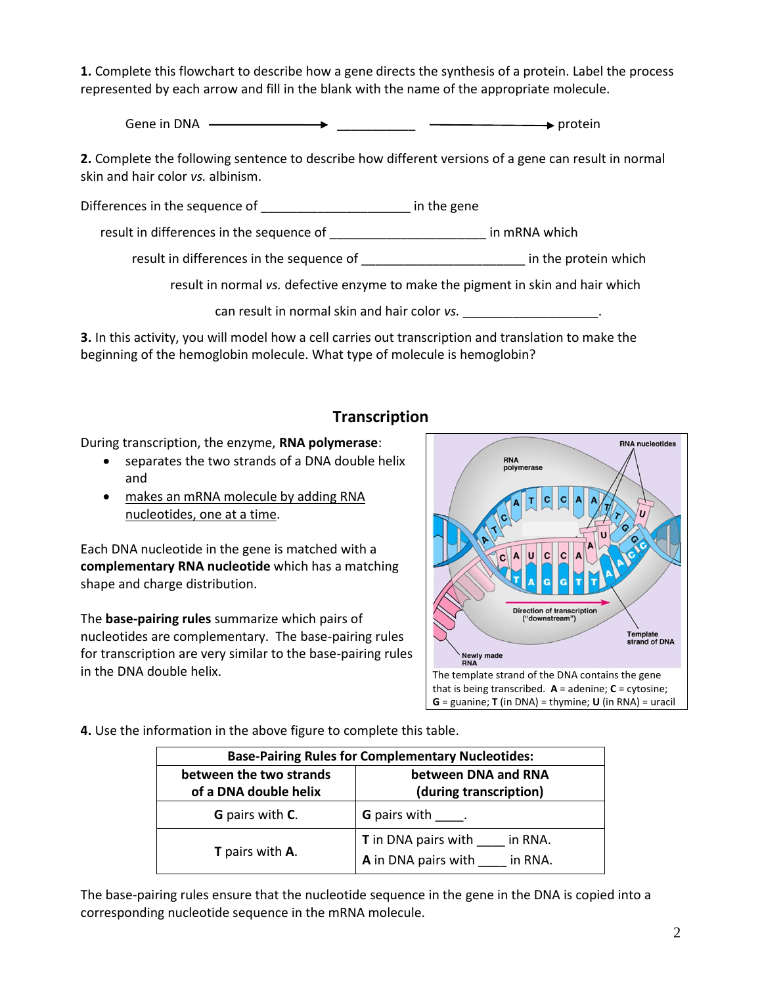**1.** Complete this flowchart to describe how a gene directs the synthesis of a protein. Label the process represented by each arrow and fill in the blank with the name of the appropriate molecule.

Gene in DNA  $\longrightarrow$ 

**2.** Complete the following sentence to describe how different versions of a gene can result in normal skin and hair color *vs.* albinism.

Differences in the sequence of **we can allocate the sequence** of

result in differences in the sequence of \_\_\_\_\_\_\_\_\_\_\_\_\_\_\_\_\_\_\_\_\_\_ in mRNA which

result in differences in the sequence of  $\qquad \qquad$  in the protein which

result in normal *vs.* defective enzyme to make the pigment in skin and hair which

can result in normal skin and hair color *vs.* \_\_\_\_\_\_\_\_\_\_\_\_\_\_\_\_\_\_\_\_\_\_.

**3.** In this activity, you will model how a cell carries out transcription and translation to make the beginning of the hemoglobin molecule. What type of molecule is hemoglobin?

# **Transcription**

During transcription, the enzyme, **RNA polymerase**:

- separates the two strands of a DNA double helix and
- makes an mRNA molecule by adding RNA nucleotides, one at a time.

Each DNA nucleotide in the gene is matched with a **complementary RNA nucleotide** which has a matching shape and charge distribution.

The **base-pairing rules** summarize which pairs of nucleotides are complementary. The base-pairing rules for transcription are very similar to the base-pairing rules in the DNA double helix.  $\frac{1}{2}$  The template strand of the DNA contains the gene



**4.** Use the information in the above figure to complete this table.

| <b>Base-Pairing Rules for Complementary Nucleotides:</b> |                                                                         |  |  |  |  |
|----------------------------------------------------------|-------------------------------------------------------------------------|--|--|--|--|
| between the two strands<br>of a DNA double helix         | between DNA and RNA<br>(during transcription)                           |  |  |  |  |
| <b>G</b> pairs with <b>C</b> .                           | <b>G</b> pairs with                                                     |  |  |  |  |
| <b>T</b> pairs with <b>A</b> .                           | <b>T</b> in DNA pairs with<br>in RNA.<br>A in DNA pairs with<br>in RNA. |  |  |  |  |

The base-pairing rules ensure that the nucleotide sequence in the gene in the DNA is copied into a corresponding nucleotide sequence in the mRNA molecule.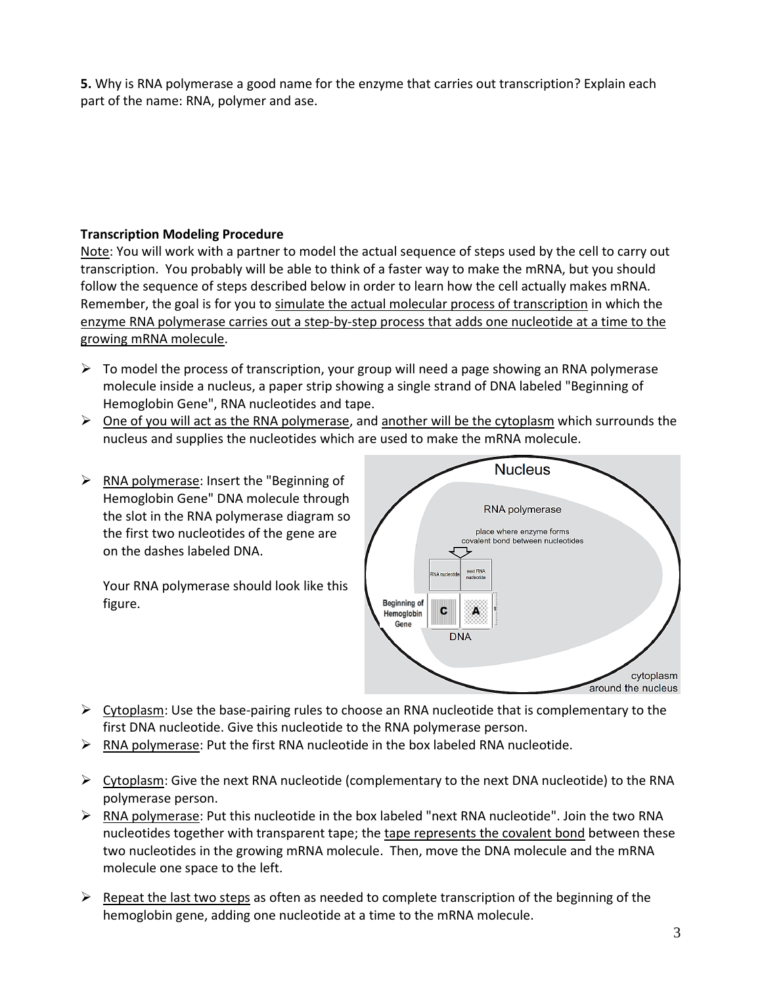**5.** Why is RNA polymerase a good name for the enzyme that carries out transcription? Explain each part of the name: RNA, polymer and ase.

#### **Transcription Modeling Procedure**

Note: You will work with a partner to model the actual sequence of steps used by the cell to carry out transcription. You probably will be able to think of a faster way to make the mRNA, but you should follow the sequence of steps described below in order to learn how the cell actually makes mRNA. Remember, the goal is for you to simulate the actual molecular process of transcription in which the enzyme RNA polymerase carries out a step-by-step process that adds one nucleotide at a time to the growing mRNA molecule.

- $\triangleright$  To model the process of transcription, your group will need a page showing an RNA polymerase molecule inside a nucleus, a paper strip showing a single strand of DNA labeled "Beginning of Hemoglobin Gene", RNA nucleotides and tape.
- $\triangleright$  One of you will act as the RNA polymerase, and another will be the cytoplasm which surrounds the nucleus and supplies the nucleotides which are used to make the mRNA molecule.
- $\triangleright$  RNA polymerase: Insert the "Beginning of Hemoglobin Gene" DNA molecule through the slot in the RNA polymerase diagram so the first two nucleotides of the gene are on the dashes labeled DNA.

Your RNA polymerase should look like this figure.



- $\triangleright$  Cytoplasm: Use the base-pairing rules to choose an RNA nucleotide that is complementary to the first DNA nucleotide. Give this nucleotide to the RNA polymerase person.
- $\triangleright$  RNA polymerase: Put the first RNA nucleotide in the box labeled RNA nucleotide.
- $\triangleright$  Cytoplasm: Give the next RNA nucleotide (complementary to the next DNA nucleotide) to the RNA polymerase person.
- $\triangleright$  RNA polymerase: Put this nucleotide in the box labeled "next RNA nucleotide". Join the two RNA nucleotides together with transparent tape; the tape represents the covalent bond between these two nucleotides in the growing mRNA molecule. Then, move the DNA molecule and the mRNA molecule one space to the left.
- $\triangleright$  Repeat the last two steps as often as needed to complete transcription of the beginning of the hemoglobin gene, adding one nucleotide at a time to the mRNA molecule.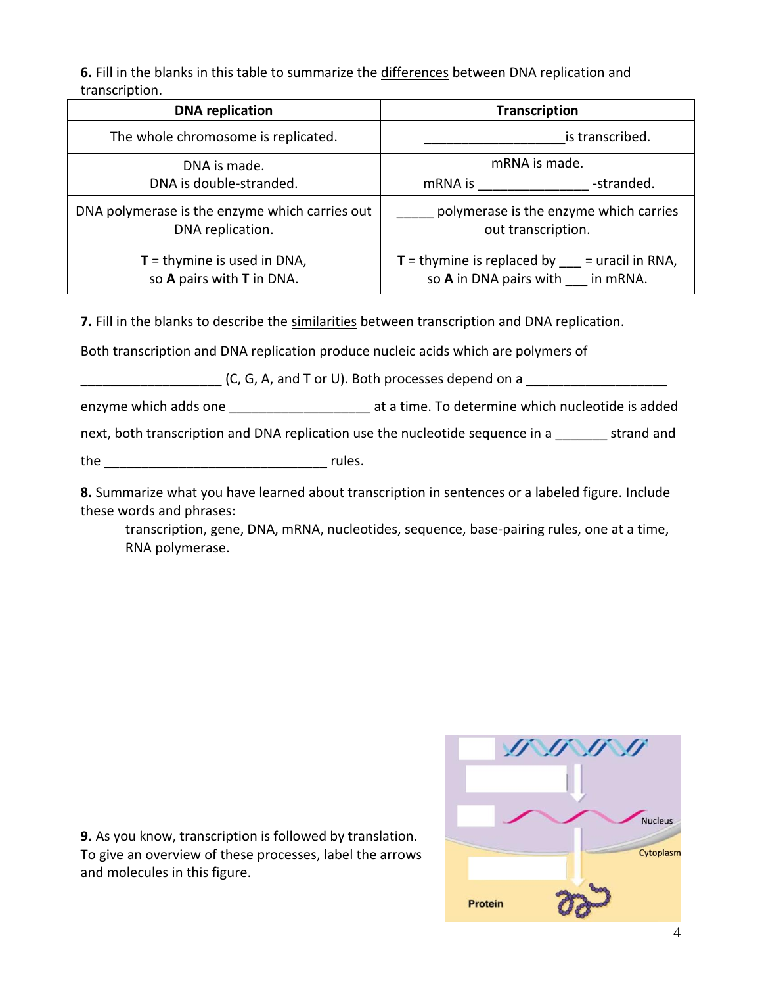**6.** Fill in the blanks in this table to summarize the differences between DNA replication and transcription.

| <b>DNA</b> replication                                             | <b>Transcription</b>                                                                           |  |  |  |
|--------------------------------------------------------------------|------------------------------------------------------------------------------------------------|--|--|--|
| The whole chromosome is replicated.                                | is transcribed.                                                                                |  |  |  |
| DNA is made.                                                       | mRNA is made.                                                                                  |  |  |  |
| DNA is double-stranded.                                            | -stranded.<br>mRNA is                                                                          |  |  |  |
| DNA polymerase is the enzyme which carries out<br>DNA replication. | polymerase is the enzyme which carries<br>out transcription.                                   |  |  |  |
| $T =$ thymine is used in DNA,<br>so A pairs with T in DNA.         | $T =$ thymine is replaced by $\frac{m}{m}$ = uracil in RNA,<br>so A in DNA pairs with in mRNA. |  |  |  |

**7.** Fill in the blanks to describe the similarities between transcription and DNA replication.

Both transcription and DNA replication produce nucleic acids which are polymers of

 $(C, G, A,$  and T or U). Both processes depend on a

enzyme which adds one \_\_\_\_\_\_\_\_\_\_\_\_\_\_\_\_\_\_\_\_\_\_\_\_\_ at a time. To determine which nucleotide is added

next, both transcription and DNA replication use the nucleotide sequence in a strand and

the  $\Box$ 

**8.** Summarize what you have learned about transcription in sentences or a labeled figure. Include these words and phrases:

transcription, gene, DNA, mRNA, nucleotides, sequence, base-pairing rules, one at a time, RNA polymerase.

**9.** As you know, transcription is followed by translation. To give an overview of these processes, label the arrows and molecules in this figure.

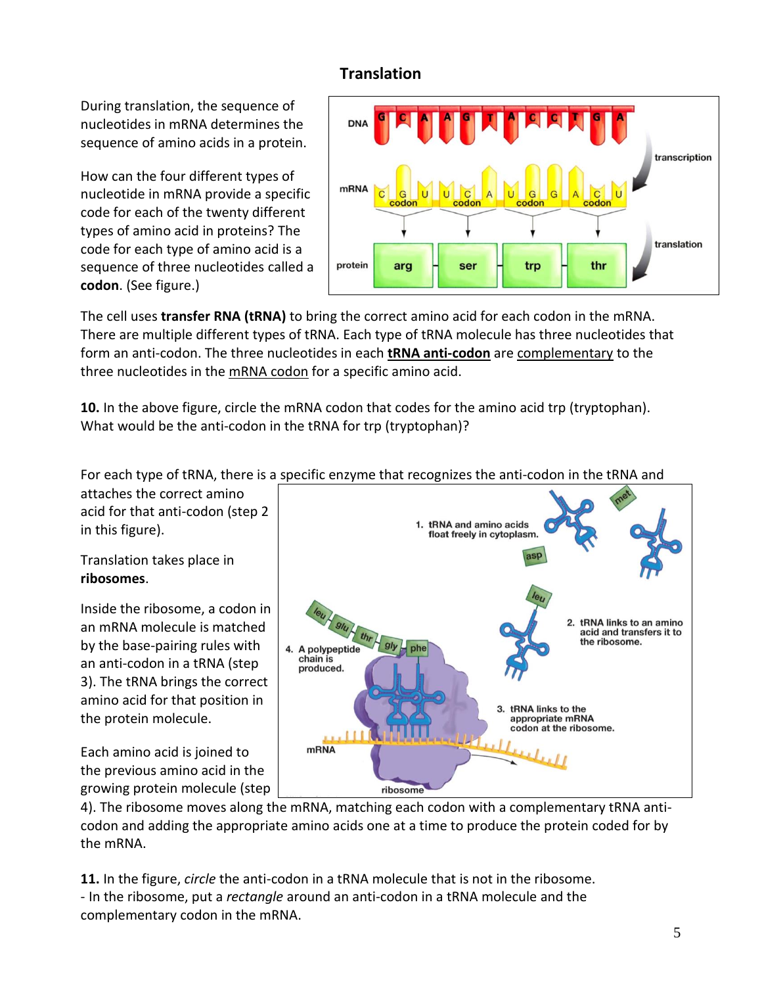# **Translation**

During translation, the sequence of nucleotides in mRNA determines the sequence of amino acids in a protein.

How can the four different types of nucleotide in mRNA provide a specific code for each of the twenty different types of amino acid in proteins? The code for each type of amino acid is a sequence of three nucleotides called a **codon**. (See figure.)



The cell uses **transfer RNA (tRNA)** to bring the correct amino acid for each codon in the mRNA. There are multiple different types of tRNA. Each type of tRNA molecule has three nucleotides that form an anti-codon. The three nucleotides in each **tRNA anti-codon** are complementary to the three nucleotides in the mRNA codon for a specific amino acid.

**10.** In the above figure, circle the mRNA codon that codes for the amino acid trp (tryptophan). What would be the anti-codon in the tRNA for trp (tryptophan)?

For each type of tRNA, there is a specific enzyme that recognizes the anti-codon in the tRNA and

attaches the correct amino acid for that anti-codon (step 2 in this figure).

Translation takes place in **ribosomes**.

Inside the ribosome, a codon in an mRNA molecule is matched by the base-pairing rules with an anti-codon in a tRNA (step 3). The tRNA brings the correct amino acid for that position in the protein molecule.

Each amino acid is joined to the previous amino acid in the growing protein molecule (step



4). The ribosome moves along the mRNA, matching each codon with a complementary tRNA anticodon and adding the appropriate amino acids one at a time to produce the protein coded for by the mRNA.

**11.** In the figure, *circle* the anti-codon in a tRNA molecule that is not in the ribosome. - In the ribosome, put a *rectangle* around an anti-codon in a tRNA molecule and the complementary codon in the mRNA.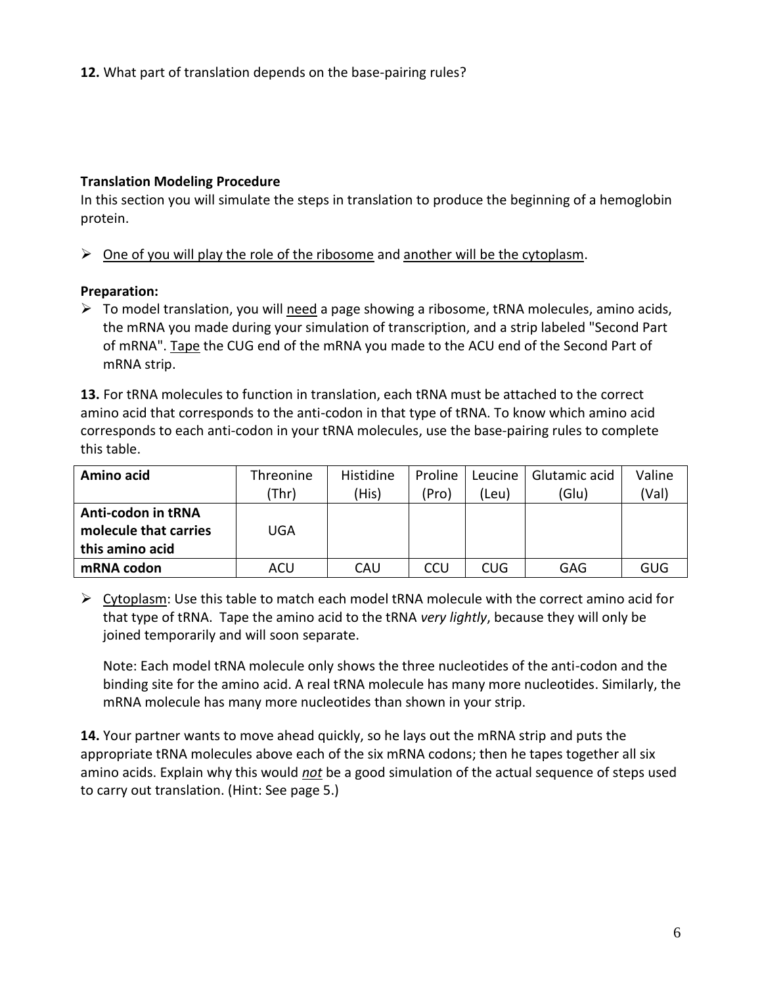# **Translation Modeling Procedure**

In this section you will simulate the steps in translation to produce the beginning of a hemoglobin protein.

 $\triangleright$  One of you will play the role of the ribosome and another will be the cytoplasm.

### **Preparation:**

 $\triangleright$  To model translation, you will need a page showing a ribosome, tRNA molecules, amino acids, the mRNA you made during your simulation of transcription, and a strip labeled "Second Part of mRNA". Tape the CUG end of the mRNA you made to the ACU end of the Second Part of mRNA strip.

**13.** For tRNA molecules to function in translation, each tRNA must be attached to the correct amino acid that corresponds to the anti-codon in that type of tRNA. To know which amino acid corresponds to each anti-codon in your tRNA molecules, use the base-pairing rules to complete this table.

| Amino acid            | Threonine | Histidine | Proline | Leucine | Glutamic acid | Valine |
|-----------------------|-----------|-----------|---------|---------|---------------|--------|
|                       | (Thr)     | (His)     | (Pro)   | (Leu)   | (Glu)         | (Val)  |
| Anti-codon in tRNA    |           |           |         |         |               |        |
| molecule that carries | UGA       |           |         |         |               |        |
| this amino acid       |           |           |         |         |               |        |
| mRNA codon            | ACU       | CAU       | CCU     | CUG.    | GAG           | GUG    |

 $\triangleright$  Cytoplasm: Use this table to match each model tRNA molecule with the correct amino acid for that type of tRNA. Tape the amino acid to the tRNA *very lightly*, because they will only be joined temporarily and will soon separate.

Note: Each model tRNA molecule only shows the three nucleotides of the anti-codon and the binding site for the amino acid. A real tRNA molecule has many more nucleotides. Similarly, the mRNA molecule has many more nucleotides than shown in your strip.

**14.** Your partner wants to move ahead quickly, so he lays out the mRNA strip and puts the appropriate tRNA molecules above each of the six mRNA codons; then he tapes together all six amino acids. Explain why this would *not* be a good simulation of the actual sequence of steps used to carry out translation. (Hint: See page 5.)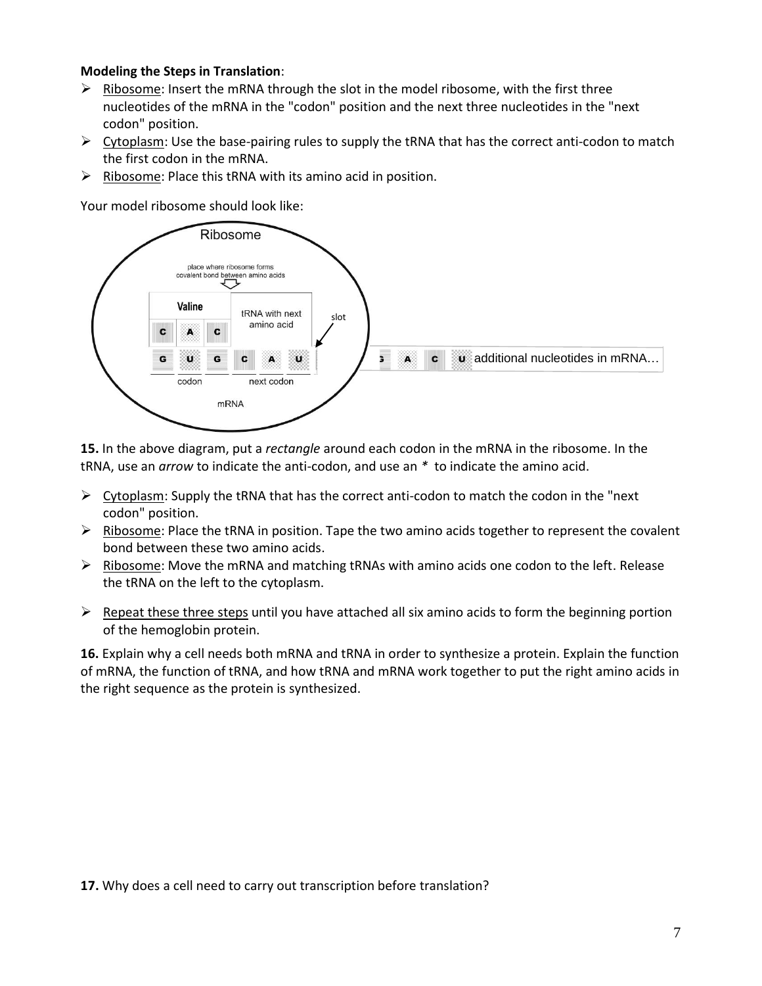#### **Modeling the Steps in Translation**:

- $\triangleright$  Ribosome: Insert the mRNA through the slot in the model ribosome, with the first three nucleotides of the mRNA in the "codon" position and the next three nucleotides in the "next codon" position.
- $\triangleright$  Cytoplasm: Use the base-pairing rules to supply the tRNA that has the correct anti-codon to match the first codon in the mRNA.
- $\triangleright$  Ribosome: Place this tRNA with its amino acid in position.

Your model ribosome should look like:



**15.** In the above diagram, put a *rectangle* around each codon in the mRNA in the ribosome. In the tRNA, use an *arrow* to indicate the anti-codon, and use an *\** to indicate the amino acid.

- $\triangleright$  Cytoplasm: Supply the tRNA that has the correct anti-codon to match the codon in the "next" codon" position.
- $\triangleright$  Ribosome: Place the tRNA in position. Tape the two amino acids together to represent the covalent bond between these two amino acids.
- $\triangleright$  Ribosome: Move the mRNA and matching tRNAs with amino acids one codon to the left. Release the tRNA on the left to the cytoplasm.
- $\triangleright$  Repeat these three steps until you have attached all six amino acids to form the beginning portion of the hemoglobin protein.

**16.** Explain why a cell needs both mRNA and tRNA in order to synthesize a protein. Explain the function of mRNA, the function of tRNA, and how tRNA and mRNA work together to put the right amino acids in the right sequence as the protein is synthesized.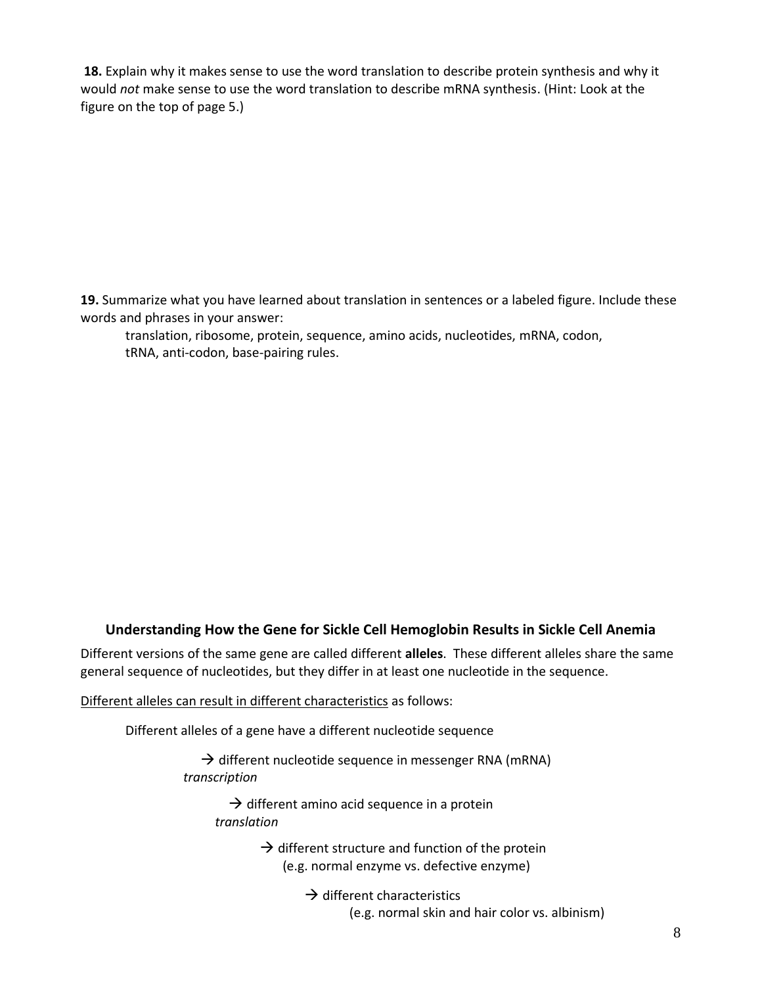**18.** Explain why it makes sense to use the word translation to describe protein synthesis and why it would *not* make sense to use the word translation to describe mRNA synthesis. (Hint: Look at the figure on the top of page 5.)

**19.** Summarize what you have learned about translation in sentences or a labeled figure. Include these words and phrases in your answer:

translation, ribosome, protein, sequence, amino acids, nucleotides, mRNA, codon, tRNA, anti-codon, base-pairing rules.

### **Understanding How the Gene for Sickle Cell Hemoglobin Results in Sickle Cell Anemia**

Different versions of the same gene are called different **alleles**. These different alleles share the same general sequence of nucleotides, but they differ in at least one nucleotide in the sequence.

Different alleles can result in different characteristics as follows:

Different alleles of a gene have a different nucleotide sequence

 $\rightarrow$  different nucleotide sequence in messenger RNA (mRNA)  *transcription*

 $\rightarrow$  different amino acid sequence in a protein *translation*

> $\rightarrow$  different structure and function of the protein (e.g. normal enzyme vs. defective enzyme)

> > $\rightarrow$  different characteristics (e.g. normal skin and hair color vs. albinism)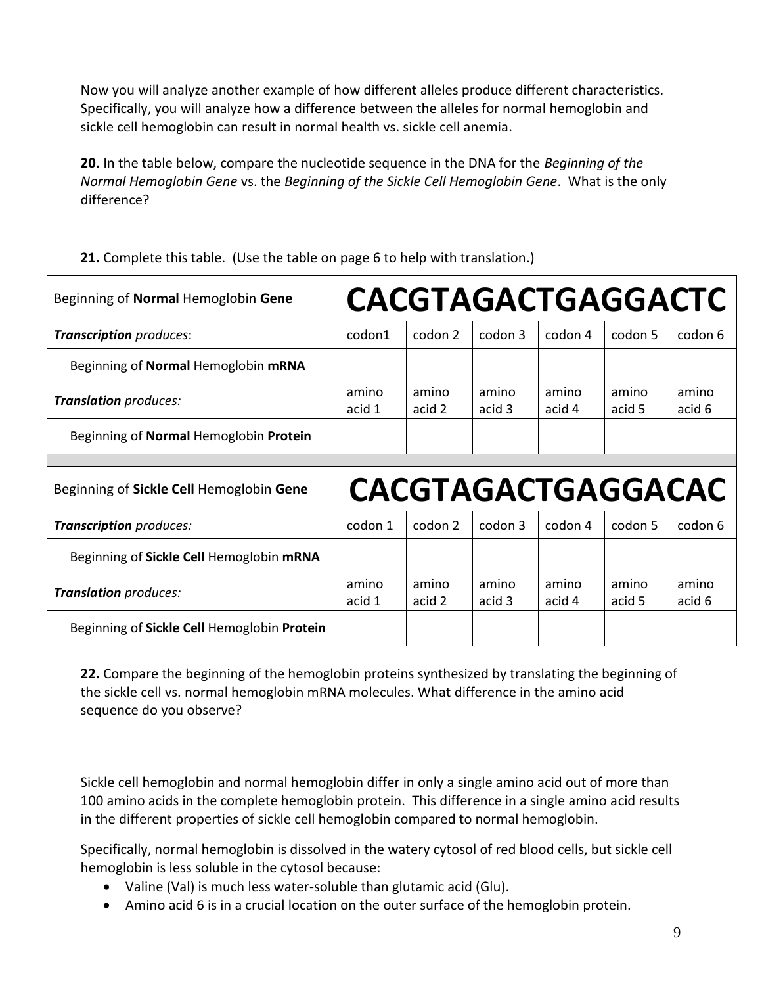Now you will analyze another example of how different alleles produce different characteristics. Specifically, you will analyze how a difference between the alleles for normal hemoglobin and sickle cell hemoglobin can result in normal health vs. sickle cell anemia.

**20.** In the table below, compare the nucleotide sequence in the DNA for the *Beginning of the Normal Hemoglobin Gene* vs. the *Beginning of the Sickle Cell Hemoglobin Gene*. What is the only difference?

| Beginning of Normal Hemoglobin Gene      |                 |                 |                 |                 | <b>CACGTAGACTGAGGACTC</b> |                 |
|------------------------------------------|-----------------|-----------------|-----------------|-----------------|---------------------------|-----------------|
| <b>Transcription</b> produces:           | codon1          | codon 2         | codon 3         | codon 4         | codon 5                   | codon 6         |
| Beginning of Normal Hemoglobin mRNA      |                 |                 |                 |                 |                           |                 |
| Translation produces:                    | amino<br>acid 1 | amino<br>acid 2 | amino<br>acid 3 | amino<br>acid 4 | amino<br>acid 5           | amino<br>acid 6 |
| Beginning of Normal Hemoglobin Protein   |                 |                 |                 |                 |                           |                 |
|                                          |                 |                 |                 |                 |                           |                 |
|                                          |                 |                 |                 |                 |                           |                 |
| Beginning of Sickle Cell Hemoglobin Gene |                 |                 |                 |                 | CACGTAGACTGAGGACAC        |                 |
| Transcription produces:                  | codon 1         | codon 2         | codon 3         | codon 4         | codon 5                   | codon 6         |
| Beginning of Sickle Cell Hemoglobin mRNA |                 |                 |                 |                 |                           |                 |
| Translation produces:                    | amino<br>acid 1 | amino<br>acid 2 | amino<br>acid 3 | amino<br>acid 4 | amino<br>acid 5           | amino<br>acid 6 |

**21.** Complete this table. (Use the table on page 6 to help with translation.)

**22.** Compare the beginning of the hemoglobin proteins synthesized by translating the beginning of the sickle cell vs. normal hemoglobin mRNA molecules. What difference in the amino acid sequence do you observe?

Sickle cell hemoglobin and normal hemoglobin differ in only a single amino acid out of more than 100 amino acids in the complete hemoglobin protein. This difference in a single amino acid results in the different properties of sickle cell hemoglobin compared to normal hemoglobin.

Specifically, normal hemoglobin is dissolved in the watery cytosol of red blood cells, but sickle cell hemoglobin is less soluble in the cytosol because:

- Valine (Val) is much less water-soluble than glutamic acid (Glu).
- Amino acid 6 is in a crucial location on the outer surface of the hemoglobin protein.